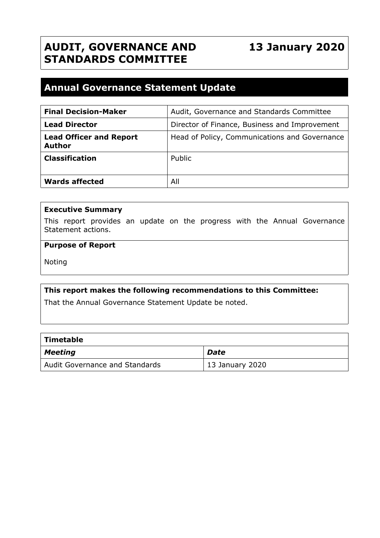# **AUDIT, GOVERNANCE AND STANDARDS COMMITTEE**

# **13 January 2020**

# **Annual Governance Statement Update**

| <b>Final Decision-Maker</b>                     | Audit, Governance and Standards Committee     |
|-------------------------------------------------|-----------------------------------------------|
| <b>Lead Director</b>                            | Director of Finance, Business and Improvement |
| <b>Lead Officer and Report</b><br><b>Author</b> | Head of Policy, Communications and Governance |
| <b>Classification</b>                           | Public                                        |
| <b>Wards affected</b>                           | All                                           |

#### **Executive Summary**

This report provides an update on the progress with the Annual Governance Statement actions.

# **Purpose of Report**

Noting

#### **This report makes the following recommendations to this Committee:**

That the Annual Governance Statement Update be noted.

| $\mid$ Timetable               |                 |  |  |
|--------------------------------|-----------------|--|--|
| $\vert$ Meeting                | Date            |  |  |
| Audit Governance and Standards | 13 January 2020 |  |  |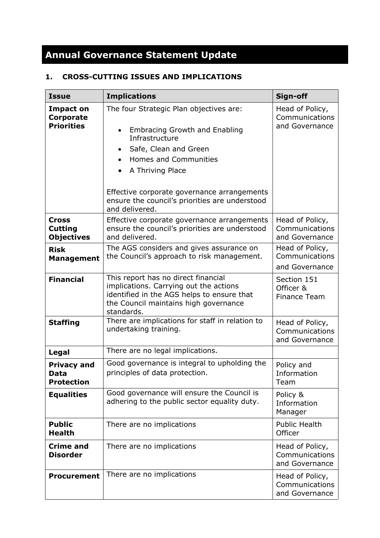# **Annual Governance Statement Update**

# **1. CROSS-CUTTING ISSUES AND IMPLICATIONS**

| <b>Issue</b>                                        | <b>Implications</b>                                                                                                                                                                                                                                                                        | Sign-off                                            |
|-----------------------------------------------------|--------------------------------------------------------------------------------------------------------------------------------------------------------------------------------------------------------------------------------------------------------------------------------------------|-----------------------------------------------------|
| <b>Impact on</b><br>Corporate<br><b>Priorities</b>  | The four Strategic Plan objectives are:<br><b>Embracing Growth and Enabling</b><br>Infrastructure<br>Safe, Clean and Green<br>Homes and Communities<br>A Thriving Place<br>Effective corporate governance arrangements<br>ensure the council's priorities are understood<br>and delivered. | Head of Policy,<br>Communications<br>and Governance |
| <b>Cross</b><br><b>Cutting</b><br><b>Objectives</b> | Effective corporate governance arrangements<br>ensure the council's priorities are understood<br>and delivered.                                                                                                                                                                            | Head of Policy,<br>Communications<br>and Governance |
| <b>Risk</b><br><b>Management</b>                    | The AGS considers and gives assurance on<br>the Council's approach to risk management.                                                                                                                                                                                                     | Head of Policy,<br>Communications<br>and Governance |
| <b>Financial</b>                                    | This report has no direct financial<br>implications. Carrying out the actions<br>identified in the AGS helps to ensure that<br>the Council maintains high governance<br>standards.                                                                                                         | Section 151<br>Officer &<br><b>Finance Team</b>     |
| <b>Staffing</b>                                     | There are implications for staff in relation to<br>undertaking training.                                                                                                                                                                                                                   | Head of Policy,<br>Communications<br>and Governance |
| Legal                                               | There are no legal implications.                                                                                                                                                                                                                                                           |                                                     |
| <b>Privacy and</b><br>Data<br><b>Protection</b>     | Good governance is integral to upholding the<br>principles of data protection.                                                                                                                                                                                                             | Policy and<br>Information<br>Team                   |
| <b>Equalities</b>                                   | Good governance will ensure the Council is<br>adhering to the public sector equality duty.                                                                                                                                                                                                 | Policy &<br>Information<br>Manager                  |
| <b>Public</b><br><b>Health</b>                      | There are no implications                                                                                                                                                                                                                                                                  | <b>Public Health</b><br>Officer                     |
| <b>Crime and</b><br><b>Disorder</b>                 | There are no implications                                                                                                                                                                                                                                                                  | Head of Policy,<br>Communications<br>and Governance |
| <b>Procurement</b>                                  | There are no implications                                                                                                                                                                                                                                                                  | Head of Policy,<br>Communications<br>and Governance |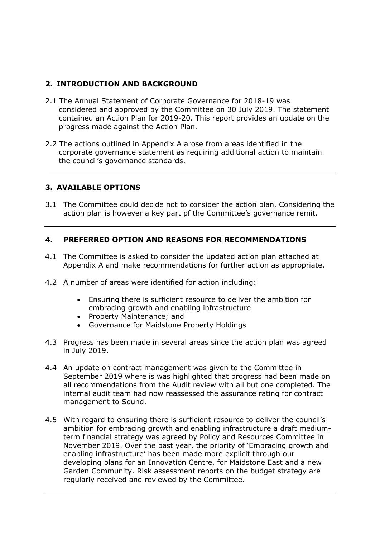# **2. INTRODUCTION AND BACKGROUND**

- 2.1 The Annual Statement of Corporate Governance for 2018-19 was considered and approved by the Committee on 30 July 2019. The statement contained an Action Plan for 2019-20. This report provides an update on the progress made against the Action Plan.
- 2.2 The actions outlined in Appendix A arose from areas identified in the corporate governance statement as requiring additional action to maintain the council's governance standards.

## **3. AVAILABLE OPTIONS**

3.1 The Committee could decide not to consider the action plan. Considering the action plan is however a key part pf the Committee's governance remit.

## **4. PREFERRED OPTION AND REASONS FOR RECOMMENDATIONS**

- 4.1 The Committee is asked to consider the updated action plan attached at Appendix A and make recommendations for further action as appropriate.
- 4.2 A number of areas were identified for action including:
	- Ensuring there is sufficient resource to deliver the ambition for embracing growth and enabling infrastructure
	- Property Maintenance; and
	- Governance for Maidstone Property Holdings
- 4.3 Progress has been made in several areas since the action plan was agreed in July 2019.
- 4.4 An update on contract management was given to the Committee in September 2019 where is was highlighted that progress had been made on all recommendations from the Audit review with all but one completed. The internal audit team had now reassessed the assurance rating for contract management to Sound.
- 4.5 With regard to ensuring there is sufficient resource to deliver the council's ambition for embracing growth and enabling infrastructure a draft mediumterm financial strategy was agreed by Policy and Resources Committee in November 2019. Over the past year, the priority of 'Embracing growth and enabling infrastructure' has been made more explicit through our developing plans for an Innovation Centre, for Maidstone East and a new Garden Community. Risk assessment reports on the budget strategy are regularly received and reviewed by the Committee.